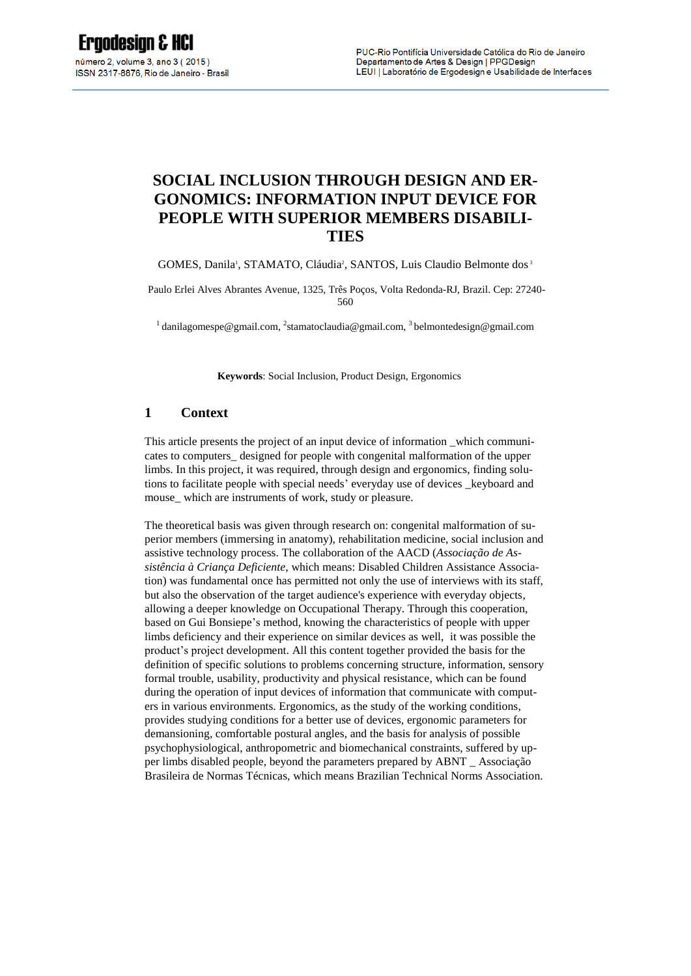# **SOCIAL INCLUSION THROUGH DESIGN AND ER-GONOMICS: INFORMATION INPUT DEVICE FOR PEOPLE WITH SUPERIOR MEMBERS DISABILI-TIES**

GOMES, Danila<sup>1</sup>, STAMATO, Cláudia<sup>2</sup>, SANTOS, Luis Claudio Belmonte dos<sup>3</sup>

Paulo Erlei Alves Abrantes Avenue, 1325, Três Poços, Volta Redonda-RJ, Brazil. Cep: 27240- 560

<sup>1</sup> danilagomespe@gmail.com, <sup>2</sup>[stamatoclaudia@gmail.com,](mailto:2email%20author%202) <sup>3</sup> belmontedesign@gmail.com

**Keywords**: Social Inclusion, Product Design, Ergonomics

#### **1 Context**

This article presents the project of an input device of information \_which communicates to computers\_ designed for people with congenital malformation of the upper limbs. In this project, it was required, through design and ergonomics, finding solutions to facilitate people with special needs' everyday use of devices \_keyboard and mouse\_ which are instruments of work, study or pleasure.

The theoretical basis was given through research on: congenital malformation of superior members (immersing in anatomy), rehabilitation medicine, social inclusion and assistive technology process. The collaboration of the AACD (*Associação de Assistência à Criança Deficiente*, which means: Disabled Children Assistance Association) was fundamental once has permitted not only the use of interviews with its staff, but also the observation of the target audience's experience with everyday objects, allowing a deeper knowledge on Occupational Therapy. Through this cooperation, based on Gui Bonsiepe's method, knowing the characteristics of people with upper limbs deficiency and their experience on similar devices as well, it was possible the product's project development. All this content together provided the basis for the definition of specific solutions to problems concerning structure, information, sensory formal trouble, usability, productivity and physical resistance, which can be found during the operation of input devices of information that communicate with computers in various environments. Ergonomics, as the study of the working conditions, provides studying conditions for a better use of devices, ergonomic parameters for demansioning, comfortable postural angles, and the basis for analysis of possible psychophysiological, anthropometric and biomechanical constraints, suffered by upper limbs disabled people, beyond the parameters prepared by ABNT \_ Associação Brasileira de Normas Técnicas, which means Brazilian Technical Norms Association.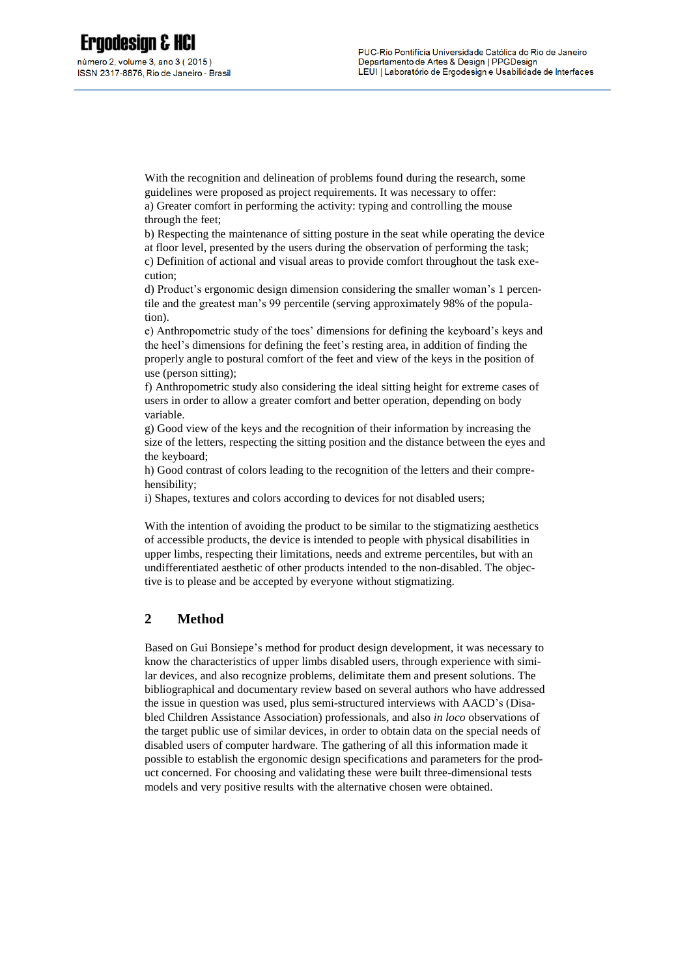With the recognition and delineation of problems found during the research, some guidelines were proposed as project requirements. It was necessary to offer: a) Greater comfort in performing the activity: typing and controlling the mouse through the feet;

b) Respecting the maintenance of sitting posture in the seat while operating the device at floor level, presented by the users during the observation of performing the task; c) Definition of actional and visual areas to provide comfort throughout the task execution;

d) Product's ergonomic design dimension considering the smaller woman's 1 percentile and the greatest man's 99 percentile (serving approximately 98% of the population).

e) Anthropometric study of the toes' dimensions for defining the keyboard's keys and the heel's dimensions for defining the feet's resting area, in addition of finding the properly angle to postural comfort of the feet and view of the keys in the position of use (person sitting);

f) Anthropometric study also considering the ideal sitting height for extreme cases of users in order to allow a greater comfort and better operation, depending on body variable.

g) Good view of the keys and the recognition of their information by increasing the size of the letters, respecting the sitting position and the distance between the eyes and the keyboard;

h) Good contrast of colors leading to the recognition of the letters and their comprehensibility;

i) Shapes, textures and colors according to devices for not disabled users;

With the intention of avoiding the product to be similar to the stigmatizing aesthetics of accessible products, the device is intended to people with physical disabilities in upper limbs, respecting their limitations, needs and extreme percentiles, but with an undifferentiated aesthetic of other products intended to the non-disabled. The objective is to please and be accepted by everyone without stigmatizing.

# **2 Method**

Based on Gui Bonsiepe's method for product design development, it was necessary to know the characteristics of upper limbs disabled users, through experience with similar devices, and also recognize problems, delimitate them and present solutions. The bibliographical and documentary review based on several authors who have addressed the issue in question was used, plus semi-structured interviews with AACD's (Disabled Children Assistance Association) professionals, and also *in loco* observations of the target public use of similar devices, in order to obtain data on the special needs of disabled users of computer hardware. The gathering of all this information made it possible to establish the ergonomic design specifications and parameters for the product concerned. For choosing and validating these were built three-dimensional tests models and very positive results with the alternative chosen were obtained.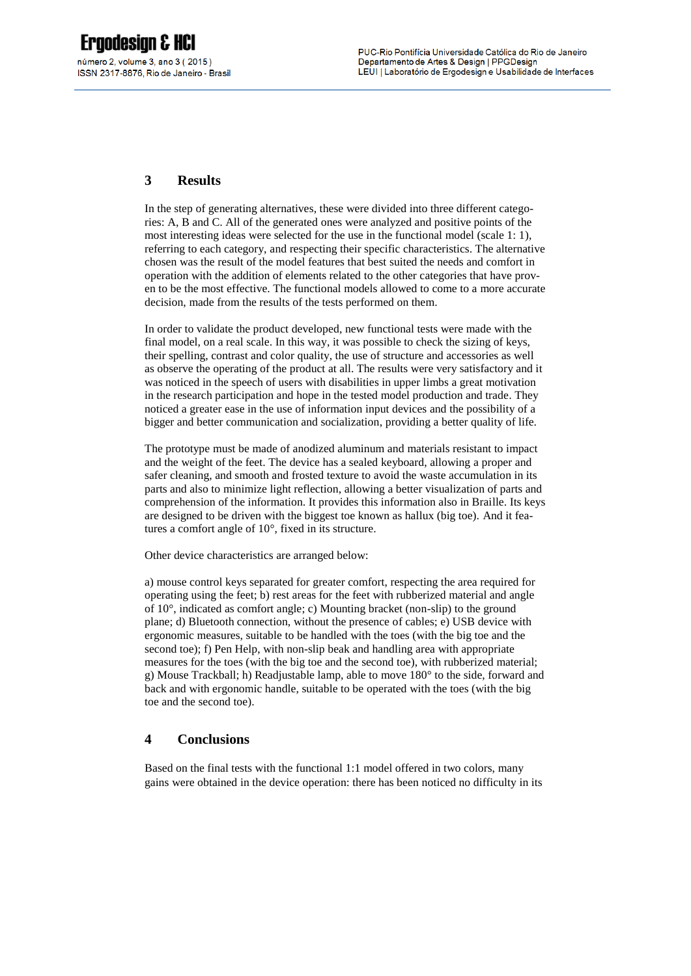# **3 Results**

In the step of generating alternatives, these were divided into three different categories: A, B and C. All of the generated ones were analyzed and positive points of the most interesting ideas were selected for the use in the functional model (scale 1: 1), referring to each category, and respecting their specific characteristics. The alternative chosen was the result of the model features that best suited the needs and comfort in operation with the addition of elements related to the other categories that have proven to be the most effective. The functional models allowed to come to a more accurate decision, made from the results of the tests performed on them.

In order to validate the product developed, new functional tests were made with the final model, on a real scale. In this way, it was possible to check the sizing of keys, their spelling, contrast and color quality, the use of structure and accessories as well as observe the operating of the product at all. The results were very satisfactory and it was noticed in the speech of users with disabilities in upper limbs a great motivation in the research participation and hope in the tested model production and trade. They noticed a greater ease in the use of information input devices and the possibility of a bigger and better communication and socialization, providing a better quality of life.

The prototype must be made of anodized aluminum and materials resistant to impact and the weight of the feet. The device has a sealed keyboard, allowing a proper and safer cleaning, and smooth and frosted texture to avoid the waste accumulation in its parts and also to minimize light reflection, allowing a better visualization of parts and comprehension of the information. It provides this information also in Braille. Its keys are designed to be driven with the biggest toe known as hallux (big toe). And it features a comfort angle of 10°, fixed in its structure.

Other device characteristics are arranged below:

a) mouse control keys separated for greater comfort, respecting the area required for operating using the feet; b) rest areas for the feet with rubberized material and angle of 10°, indicated as comfort angle; c) Mounting bracket (non-slip) to the ground plane; d) Bluetooth connection, without the presence of cables; e) USB device with ergonomic measures, suitable to be handled with the toes (with the big toe and the second toe); f) Pen Help, with non-slip beak and handling area with appropriate measures for the toes (with the big toe and the second toe), with rubberized material; g) Mouse Trackball; h) Readjustable lamp, able to move 180° to the side, forward and back and with ergonomic handle, suitable to be operated with the toes (with the big toe and the second toe).

### **4 Conclusions**

Based on the final tests with the functional 1:1 model offered in two colors, many gains were obtained in the device operation: there has been noticed no difficulty in its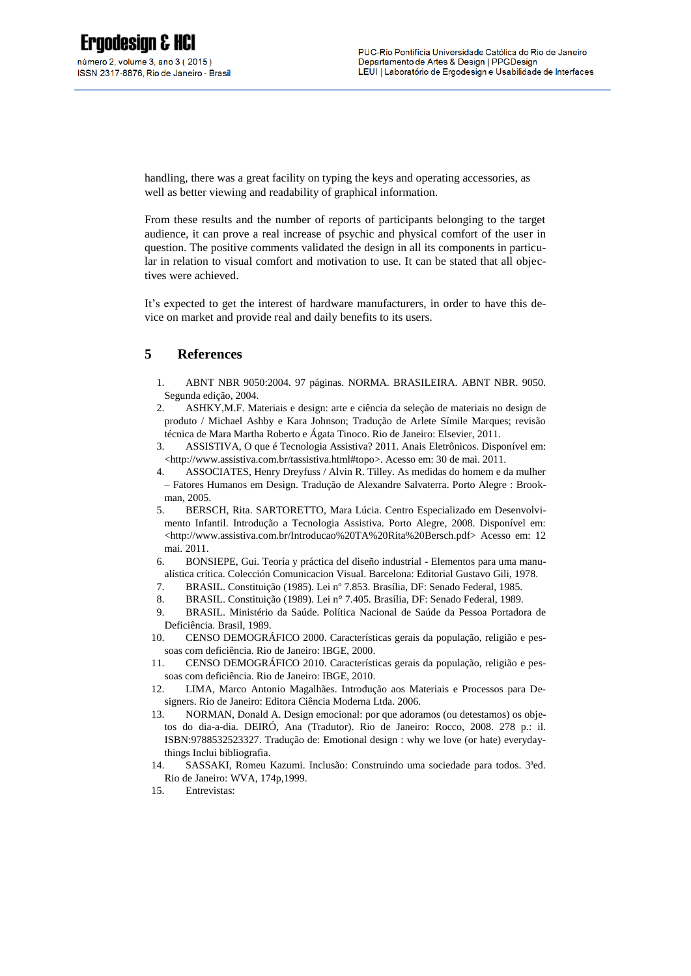handling, there was a great facility on typing the keys and operating accessories, as well as better viewing and readability of graphical information.

From these results and the number of reports of participants belonging to the target audience, it can prove a real increase of psychic and physical comfort of the user in question. The positive comments validated the design in all its components in particular in relation to visual comfort and motivation to use. It can be stated that all objectives were achieved.

It's expected to get the interest of hardware manufacturers, in order to have this device on market and provide real and daily benefits to its users.

### **5 References**

- 1. ABNT NBR 9050:2004. 97 páginas. NORMA. BRASILEIRA. ABNT NBR. 9050. Segunda edição, 2004.
- 2. ASHKY,M.F. Materiais e design: arte e ciência da seleção de materiais no design de produto / Michael Ashby e Kara Johnson; Tradução de Arlete Símile Marques; revisão técnica de Mara Martha Roberto e Ágata Tinoco. Rio de Janeiro: Elsevier, 2011.
- 3. ASSISTIVA, O que é Tecnologia Assistiva? 2011. Anais Eletrônicos. Disponível em: <http://www.assistiva.com.br/tassistiva.html#topo>. Acesso em: 30 de mai. 2011.
- 4. ASSOCIATES, Henry Dreyfuss / Alvin R. Tilley. As medidas do homem e da mulher – Fatores Humanos em Design. Tradução de Alexandre Salvaterra. Porto Alegre : Brookman, 2005.
- 5. BERSCH, Rita. SARTORETTO, Mara Lúcia. Centro Especializado em Desenvolvimento Infantil. Introdução a Tecnologia Assistiva. Porto Alegre, 2008. Disponível em: <http://www.assistiva.com.br/Introducao%20TA%20Rita%20Bersch.pdf> Acesso em: 12 mai. 2011.
- 6. BONSIEPE, Gui. Teoría y práctica del diseño industrial Elementos para uma manualística crítica. Colección Comunicacion Visual. Barcelona: Editorial Gustavo Gili, 1978.
- 7. BRASIL. Constituição (1985). Lei nº 7.853. Brasília, DF: Senado Federal, 1985.
- 8. BRASIL. Constituição (1989). Lei n° 7.405. Brasília, DF: Senado Federal, 1989.
- 9. BRASIL. Ministério da Saúde. Política Nacional de Saúde da Pessoa Portadora de Deficiência. Brasil, 1989.
- 10. CENSO DEMOGRÁFICO 2000. Características gerais da população, religião e pessoas com deficiência. Rio de Janeiro: IBGE, 2000.
- 11. CENSO DEMOGRÁFICO 2010. Características gerais da população, religião e pessoas com deficiência. Rio de Janeiro: IBGE, 2010.
- 12. LIMA, Marco Antonio Magalhães. Introdução aos Materiais e Processos para Designers. Rio de Janeiro: Editora Ciência Moderna Ltda. 2006.
- 13. NORMAN, Donald A. Design emocional: por que adoramos (ou detestamos) os objetos do dia-a-dia. DEIRÓ, Ana (Tradutor). Rio de Janeiro: Rocco, 2008. 278 p.: il. ISBN:9788532523327. Tradução de: Emotional design : why we love (or hate) everydaythings Inclui bibliografia.
- 14. SASSAKI, Romeu Kazumi. Inclusão: Construindo uma sociedade para todos. 3ªed. Rio de Janeiro: WVA, 174p,1999.
- 15. Entrevistas: